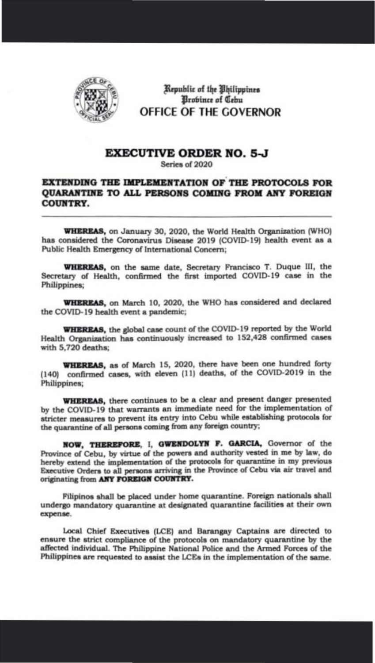

Republic of the Bhilippines Brobince of Cebu OFFICE OF THE GOVERNOR

## **EXECUTIVE ORDER NO. 5-J**

Series of 2020

## EXTENDING THE IMPLEMENTATION OF THE PROTOCOLS FOR QUARANTINE TO ALL PERSONS COMING FROM ANY FOREIGN **COUNTRY.**

WHEREAS, on January 30, 2020, the World Health Organization (WHO) has considered the Coronavirus Disease 2019 (COVID-19) health event as a Public Health Emergency of International Concern;

WHEREAS, on the same date, Secretary Francisco T. Duque III, the Secretary of Health, confirmed the first imported COVID-19 case in the Philippines;

WHEREAS, on March 10, 2020, the WHO has considered and declared the COVID-19 health event a pandemic;

WHEREAS, the global case count of the COVID-19 reported by the World Health Organization has continuously increased to 152,428 confirmed cases with 5,720 deaths;

WHEREAS, as of March 15, 2020, there have been one hundred forty (140) confirmed cases, with eleven (11) deaths, of the COVID-2019 in the Philippines;

**WHEREAS**, there continues to be a clear and present danger presented by the COVID-19 that warrants an immediate need for the implementation of stricter measures to prevent its entry into Cebu while establishing protocols for the quarantine of all persons coming from any foreign country;

NOW, THEREFORE, I, GWENDOLYN F. GARCIA, Governor of the Province of Cebu, by virtue of the powers and authority vested in me by law, do hereby extend the implementation of the protocols for quarantine in my previous Executive Orders to all persons arriving in the Province of Cebu via air travel and originating from ANY FOREIGN COUNTRY.

Filipinos shall be placed under home quarantine. Foreign nationals shall undergo mandatory quarantine at designated quarantine facilities at their own expense.

Local Chief Executives (LCE) and Barangay Captains are directed to ensure the strict compliance of the protocols on mandatory quarantine by the affected individual. The Philippine National Police and the Armed Forces of the Philippines are requested to assist the LCEs in the implementation of the same.